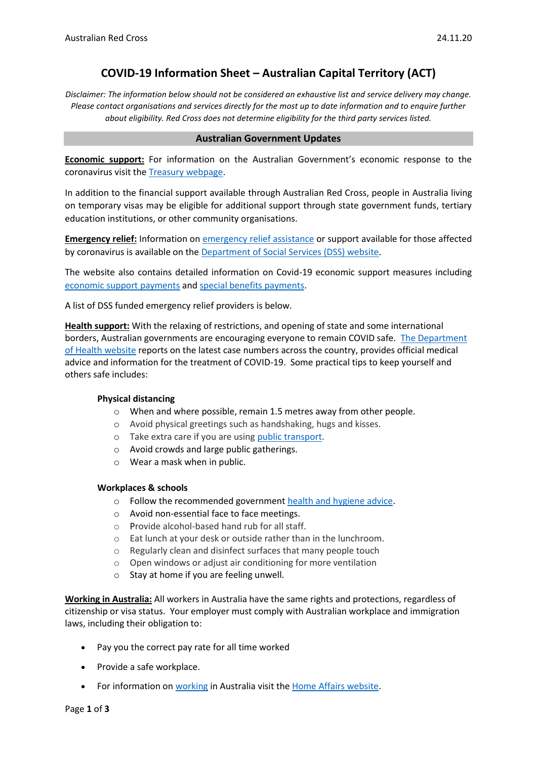# **COVID-19 Information Sheet – Australian Capital Territory (ACT)**

*Disclaimer: The information below should not be considered an exhaustive list and service delivery may change. Please contact organisations and services directly for the most up to date information and to enquire further about eligibility. Red Cross does not determine eligibility for the third party services listed.*

### **Australian Government Updates**

**Economic support:** For information on the Australian Government's economic response to the coronavirus visit the [Treasury webpage.](https://treasury.gov.au/coronavirus)

In addition to the financial support available through Australian Red Cross, people in Australia living on temporary visas may be eligible for additional support through state government funds, tertiary education institutions, or other community organisations.

**Emergency relief:** Information o[n emergency relief assistance](https://www.dss.gov.au/about-the-department/coronavirus-covid-19-information-and-support/coronavirus-support-services) or support available for those affected by coronavirus is available on the [Department of Social Services \(DSS\) website.](https://www.dss.gov.au/about-the-department/coronavirus-covid-19-information-and-support)

The website also contains detailed information on Covid-19 economic support measures including [economic support payments](https://www.servicesaustralia.gov.au/individuals/subjects/coronavirus-covid-19-and-how-we-may-help) and [special benefits payments.](https://www.servicesaustralia.gov.au/individuals/services/centrelink/special-benefit)

A list of DSS funded emergency relief providers is below.

**Health support:** With the relaxing of restrictions, and opening of state and some international borders, Australian governments are encouraging everyone to remain COVID safe. [The Department](https://www.health.gov.au/news/health-alerts/novel-coronavirus-2019-ncov-health-alert)  [of Health website](https://www.health.gov.au/news/health-alerts/novel-coronavirus-2019-ncov-health-alert) reports on the latest case numbers across the country, provides official medical advice and information for the treatment of COVID-19. Some practical tips to keep yourself and others safe includes:

### **Physical distancing**

- $\circ$  When and where possible, remain 1.5 metres away from other people.
- o Avoid physical greetings such as handshaking, hugs and kisses.
- o Take extra care if you are using [public transport.](https://www.infrastructure.gov.au/transport/files/covid19_public_transport_principles_29052020.pdf)
- o Avoid crowds and large public gatherings.
- o Wear a mask when in public.

### **Workplaces & schools**

- o Follow the recommended government [health and hygiene advice.](https://www.health.gov.au/news/health-alerts/novel-coronavirus-2019-ncov-health-alert/how-to-protect-yourself-and-others-from-coronavirus-covid-19/good-hygiene-for-coronavirus-covid-19)
- o Avoid non-essential face to face meetings.
- o Provide alcohol-based hand rub for all staff.
- o Eat lunch at your desk or outside rather than in the lunchroom.
- o Regularly clean and disinfect surfaces that many people touch
- o Open windows or adjust air conditioning for more ventilation
- o Stay at home if you are feeling unwell.

**Working in Australia:** All workers in Australia have the same rights and protections, regardless of citizenship or visa status. Your employer must comply with Australian workplace and immigration laws, including their obligation to:

- Pay you the correct pay rate for all time worked
- Provide a safe workplace.
- For information o[n working](https://immi.homeaffairs.gov.au/visas/getting-a-visa/visa-listing/student-500/temporary-relaxation-of-working-hours-for-student-visa-holders) in Australia visit the [Home Affairs website.](https://immi.homeaffairs.gov.au/visas/working-in-australia)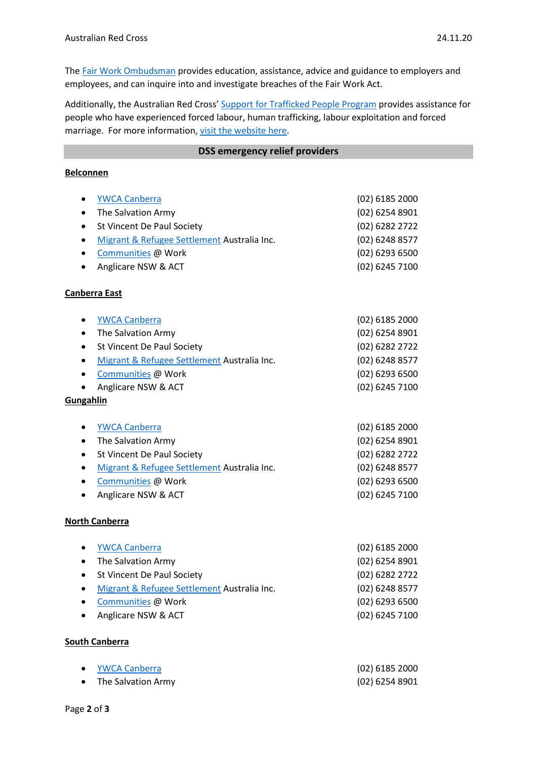The Fair Work [Ombudsman](https://www.fairwork.gov.au/) provides education, assistance, advice and guidance to employers and employees, and can inquire into and investigate breaches of the Fair Work Act.

Additionally, the Australian Red Cross' [Support for Trafficked People Program](https://www.redcross.org.au/get-help/help-for-migrants-in-transition/trafficked-people) provides assistance for people who have experienced forced labour, human trafficking, labour exploitation and forced marriage. For more information, [visit the website here.](https://www.redcross.org.au/get-help/help-for-migrants-in-transition/trafficked-people)

### **DSS emergency relief providers**

## **Belconnen**

| <b>YWCA Canberra</b><br>$\bullet$                        | $(02)$ 6185 2000 |
|----------------------------------------------------------|------------------|
| The Salvation Army<br>$\bullet$                          | (02) 6254 8901   |
| St Vincent De Paul Society<br>$\bullet$                  | (02) 6282 2722   |
| Migrant & Refugee Settlement Australia Inc.<br>$\bullet$ | (02) 6248 8577   |
| Communities @ Work<br>$\bullet$                          | (02) 6293 6500   |
| Anglicare NSW & ACT<br>$\bullet$                         | (02) 6245 7100   |
| <b>Canberra East</b>                                     |                  |
| <b>YWCA Canberra</b><br>$\bullet$                        | $(02)$ 6185 2000 |
| The Salvation Army<br>$\bullet$                          | (02) 6254 8901   |
| St Vincent De Paul Society<br>$\bullet$                  | (02) 6282 2722   |
| Migrant & Refugee Settlement Australia Inc.<br>$\bullet$ | (02) 6248 8577   |
| Communities @ Work<br>$\bullet$                          | (02) 6293 6500   |
| Anglicare NSW & ACT                                      | (02) 6245 7100   |
| Gungahlin                                                |                  |
|                                                          |                  |
| <b>YWCA Canberra</b><br>$\bullet$                        | $(02)$ 6185 2000 |
| The Salvation Army<br>$\bullet$                          | $(02)$ 6254 8901 |
| St Vincent De Paul Society<br>$\bullet$                  | (02) 6282 2722   |
| Migrant & Refugee Settlement Australia Inc.<br>$\bullet$ | (02) 6248 8577   |
| Communities @ Work<br>$\bullet$                          | (02) 6293 6500   |
| Anglicare NSW & ACT<br>$\bullet$                         | (02) 6245 7100   |
| <b>North Canberra</b>                                    |                  |
| <b>YWCA Canberra</b><br>٠                                | (02) 6185 2000   |
| The Salvation Army<br>$\bullet$                          | (02) 6254 8901   |
| St Vincent De Paul Society<br>$\bullet$                  | (02) 6282 2722   |
| Migrant & Refugee Settlement Australia Inc.<br>$\bullet$ | (02) 6248 8577   |
| Communities @ Work<br>$\bullet$                          | (02) 6293 6500   |
| Anglicare NSW & ACT<br>$\bullet$                         | (02) 6245 7100   |
| <b>South Canberra</b>                                    |                  |

| $\bullet$ | YWCA Canberra      | $(02)$ 6185 2000 |
|-----------|--------------------|------------------|
|           | The Salvation Army | (02) 6254 8901   |